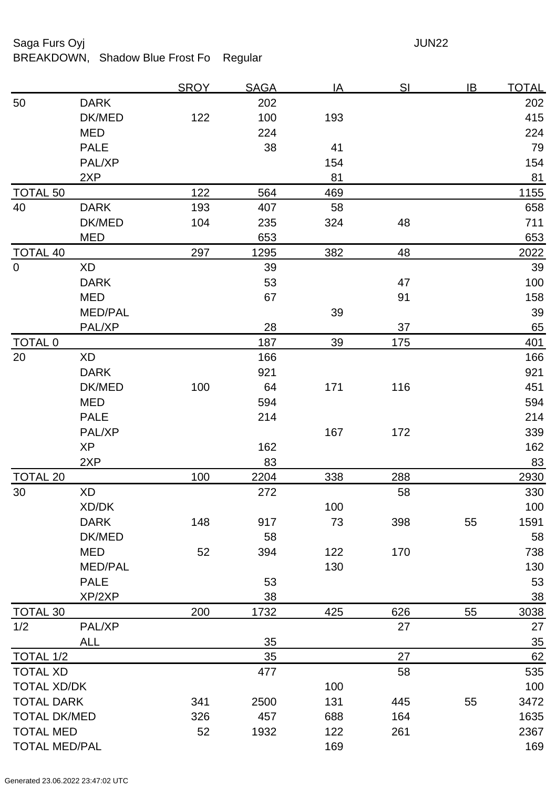## Saga Furs Oyj and the Saga Furs Oyj and the Saga Furs of the Saga Furs of the Saga Furs of the Saga Furs of the Saga Furs of the Saga Furs of the Saga Furs of the Saga Furs of the Saga Furs of the Saga Furs of the Saga Fur

BREAKDOWN, Shadow Blue Frost Fo Regular

|                      |                | <b>SROY</b> | <u>SAGA</u> | <u>IA</u> | <u>SI</u> | IB | <u>TOTAL</u> |
|----------------------|----------------|-------------|-------------|-----------|-----------|----|--------------|
| 50                   | <b>DARK</b>    |             | 202         |           |           |    | 202          |
|                      | DK/MED         | 122         | 100         | 193       |           |    | 415          |
|                      | <b>MED</b>     |             | 224         |           |           |    | 224          |
|                      | <b>PALE</b>    |             | 38          | 41        |           |    | 79           |
|                      | PAL/XP         |             |             | 154       |           |    | 154          |
|                      | 2XP            |             |             | 81        |           |    | 81           |
| <b>TOTAL 50</b>      |                | 122         | 564         | 469       |           |    | 1155         |
| 40                   | <b>DARK</b>    | 193         | 407         | 58        |           |    | 658          |
|                      | DK/MED         | 104         | 235         | 324       | 48        |    | 711          |
|                      | <b>MED</b>     |             | 653         |           |           |    | 653          |
| <b>TOTAL 40</b>      |                | 297         | 1295        | 382       | 48        |    | 2022         |
| $\mathbf 0$          | <b>XD</b>      |             | 39          |           |           |    | 39           |
|                      | <b>DARK</b>    |             | 53          |           | 47        |    | 100          |
|                      | <b>MED</b>     |             | 67          |           | 91        |    | 158          |
|                      | <b>MED/PAL</b> |             |             | 39        |           |    | 39           |
|                      | PAL/XP         |             | 28          |           | 37        |    | 65           |
| TOTAL <sub>0</sub>   |                |             | 187         | 39        | 175       |    | 401          |
| 20                   | <b>XD</b>      |             | 166         |           |           |    | 166          |
|                      | <b>DARK</b>    |             | 921         |           |           |    | 921          |
|                      | DK/MED         | 100         | 64          | 171       | 116       |    | 451          |
|                      | <b>MED</b>     |             | 594         |           |           |    | 594          |
|                      | <b>PALE</b>    |             | 214         |           |           |    | 214          |
|                      | PAL/XP         |             |             | 167       | 172       |    | 339          |
|                      | <b>XP</b>      |             | 162         |           |           |    | 162          |
|                      | 2XP            |             | 83          |           |           |    | 83           |
| <b>TOTAL 20</b>      |                | 100         | 2204        | 338       | 288       |    | 2930         |
| 30                   | <b>XD</b>      |             | 272         |           | 58        |    | 330          |
|                      | XD/DK          |             |             | 100       |           |    | 100          |
|                      | <b>DARK</b>    | 148         | 917         | 73        | 398       | 55 | 1591         |
|                      | DK/MED         |             | 58          |           |           |    | 58           |
|                      | <b>MED</b>     | 52          | 394         | 122       | 170       |    | 738          |
|                      | <b>MED/PAL</b> |             |             | 130       |           |    | 130          |
|                      | <b>PALE</b>    |             | 53          |           |           |    | 53           |
|                      | XP/2XP         |             | 38          |           |           |    | 38           |
| <b>TOTAL 30</b>      |                | 200         | 1732        | 425       | 626       | 55 | 3038         |
| 1/2                  | PAL/XP         |             |             |           | 27        |    | 27           |
|                      | <b>ALL</b>     |             | 35          |           |           |    | <u>35</u>    |
| <b>TOTAL 1/2</b>     |                |             | 35          |           | 27        |    | 62           |
| <b>TOTAL XD</b>      |                |             | 477         |           | 58        |    | 535          |
| <b>TOTAL XD/DK</b>   |                |             |             | 100       |           |    | 100          |
| <b>TOTAL DARK</b>    |                | 341         | 2500        | 131       | 445       | 55 | 3472         |
| <b>TOTAL DK/MED</b>  |                | 326         | 457         | 688       | 164       |    | 1635         |
| <b>TOTAL MED</b>     |                | 52          | 1932        | 122       | 261       |    | 2367         |
| <b>TOTAL MED/PAL</b> |                |             |             | 169       |           |    | 169          |